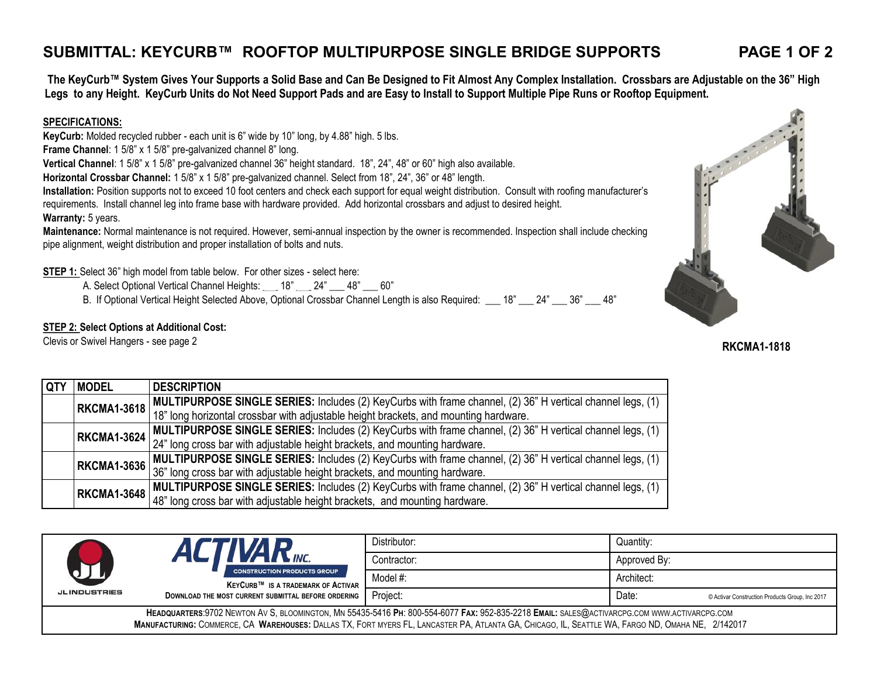### **SUBMITTAL: KEYCURB™ ROOFTOP MULTIPURPOSE SINGLE BRIDGE SUPPORTS PAGE 1 OF 2**

**The KeyCurb™ System Gives Your Supports a Solid Base and Can Be Designed to Fit Almost Any Complex Installation. Crossbars are Adjustable on the 36" High Legs to any Height. KeyCurb Units do Not Need Support Pads and are Easy to Install to Support Multiple Pipe Runs or Rooftop Equipment.**

#### **SPECIFICATIONS:**

**KeyCurb:** Molded recycled rubber - each unit is 6" wide by 10" long, by 4.88" high. 5 lbs.

**Frame Channel**: 1 5/8" x 1 5/8" pre-galvanized channel 8" long.

**Vertical Channel**: 1 5/8" x 1 5/8" pre-galvanized channel 36" height standard. 18", 24", 48" or 60" high also available.

**Horizontal Crossbar Channel:** 1 5/8" x 1 5/8" pre-galvanized channel. Select from 18", 24", 36" or 48" length.

**Installation:** Position supports not to exceed 10 foot centers and check each support for equal weight distribution. Consult with roofing manufacturer's requirements. Install channel leg into frame base with hardware provided. Add horizontal crossbars and adjust to desired height. **Warranty:** 5 years.

**Maintenance:** Normal maintenance is not required. However, semi-annual inspection by the owner is recommended. Inspection shall include checking pipe alignment, weight distribution and proper installation of bolts and nuts.

**STEP 1:** Select 36" high model from table below. For other sizes - select here:

A. Select Optional Vertical Channel Heights: \_\_\_ 18" \_\_\_ 24" \_\_\_ 48" \_\_\_ 60"

B. If Optional Vertical Height Selected Above, Optional Crossbar Channel Length is also Required: \_\_\_ 18" \_\_\_ 24" \_\_\_ 36" \_\_\_ 48"

### **STEP 2: Select Options at Additional Cost:**

Clevis or Swivel Hangers - see page 2

| l QTY | <b>MODEL</b>       | <b>DESCRIPTION</b>                                                                                                     |
|-------|--------------------|------------------------------------------------------------------------------------------------------------------------|
|       | <b>RKCMA1-3618</b> | MULTIPURPOSE SINGLE SERIES: Includes (2) KeyCurbs with frame channel, (2) 36" H vertical channel legs, (1)             |
|       |                    | 18" long horizontal crossbar with adjustable height brackets, and mounting hardware.                                   |
|       | <b>RKCMA1-3624</b> | MULTIPURPOSE SINGLE SERIES: Includes (2) KeyCurbs with frame channel, (2) 36" H vertical channel legs, (1)             |
|       |                    | 24" long cross bar with adjustable height brackets, and mounting hardware.                                             |
|       |                    | RKCMA1-3636 MULTIPURPOSE SINGLE SERIES: Includes (2) KeyCurbs with frame channel, (2) 36" H vertical channel legs, (1) |
|       |                    | 36" long cross bar with adjustable height brackets, and mounting hardware.                                             |
|       |                    | RKCMA1-3648 MULTIPURPOSE SINGLE SERIES: Includes (2) KeyCurbs with frame channel, (2) 36" H vertical channel legs, (1) |
|       |                    | 48" long cross bar with adjustable height brackets, and mounting hardware.                                             |

|                                                                                                                                                                                                                                                                                                  | <b>AR</b> <sub>INC.</sub><br><b>CONSTRUCTION PRODUCTS GROUP</b><br><b>KEYCURB™ IS A TRADEMARK OF ACTIVAR</b> | Distributor: | Quantity:                                                |  |
|--------------------------------------------------------------------------------------------------------------------------------------------------------------------------------------------------------------------------------------------------------------------------------------------------|--------------------------------------------------------------------------------------------------------------|--------------|----------------------------------------------------------|--|
|                                                                                                                                                                                                                                                                                                  |                                                                                                              | Contractor:  | Approved By:                                             |  |
|                                                                                                                                                                                                                                                                                                  |                                                                                                              | Model #:     | Architect:                                               |  |
| <b>JLINDUSTRIES</b>                                                                                                                                                                                                                                                                              | DOWNLOAD THE MOST CURRENT SUBMITTAL BEFORE ORDERING                                                          | Project:     | Date:<br>© Activar Construction Products Group, Inc 2017 |  |
| HEADQUARTERS:9702 NEWTON AV S, BLOOMINGTON, MN 55435-5416 PH: 800-554-6077 FAX: 952-835-2218 EMAIL: SALES@ACTIVARCPG.COM WWW.ACTIVARCPG.COM<br>MANUFACTURING: COMMERCE, CA WAREHOUSES: DALLAS TX, FORT MYERS FL, LANCASTER PA, ATLANTA GA, CHICAGO, IL, SEATTLE WA, FARGO ND, OMAHA NE, 2/142017 |                                                                                                              |              |                                                          |  |



## **RKCMA1-1818**